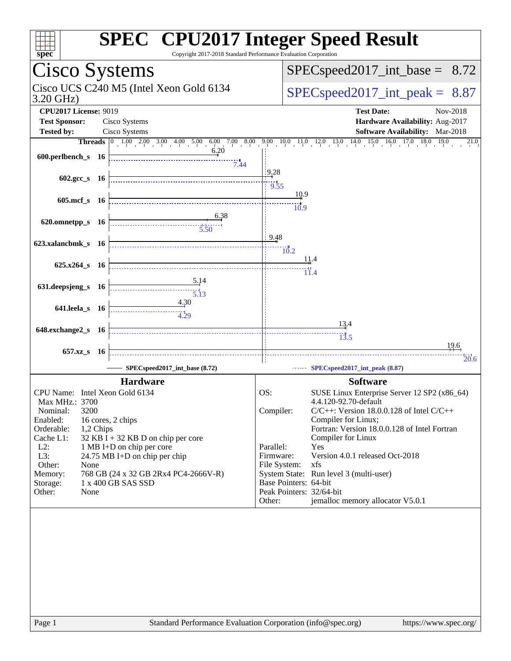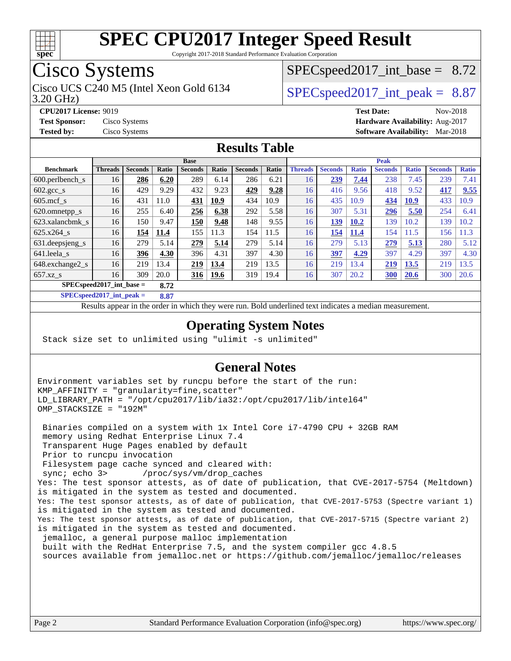

Copyright 2017-2018 Standard Performance Evaluation Corporation

## Cisco Systems

Cisco UCS C240 M5 (Intel Xeon Gold 6134  $\vert$  [SPECspeed2017\\_int\\_peak =](http://www.spec.org/auto/cpu2017/Docs/result-fields.html#SPECspeed2017intpeak) 8.87

 $SPECspeed2017\_int\_base = 8.72$ 

3.20 GHz)

**[CPU2017 License:](http://www.spec.org/auto/cpu2017/Docs/result-fields.html#CPU2017License)** 9019 **[Test Date:](http://www.spec.org/auto/cpu2017/Docs/result-fields.html#TestDate)** Nov-2018

#### **[Test Sponsor:](http://www.spec.org/auto/cpu2017/Docs/result-fields.html#TestSponsor)** Cisco Systems **[Hardware Availability:](http://www.spec.org/auto/cpu2017/Docs/result-fields.html#HardwareAvailability)** Aug-2017 **[Tested by:](http://www.spec.org/auto/cpu2017/Docs/result-fields.html#Testedby)** Cisco Systems **[Software Availability:](http://www.spec.org/auto/cpu2017/Docs/result-fields.html#SoftwareAvailability)** Mar-2018

#### **[Results Table](http://www.spec.org/auto/cpu2017/Docs/result-fields.html#ResultsTable)**

|                                      | <b>Base</b>    |                |       |                |             |                |       | <b>Peak</b>    |                |              |                |              |                |              |
|--------------------------------------|----------------|----------------|-------|----------------|-------------|----------------|-------|----------------|----------------|--------------|----------------|--------------|----------------|--------------|
| <b>Benchmark</b>                     | <b>Threads</b> | <b>Seconds</b> | Ratio | <b>Seconds</b> | Ratio       | <b>Seconds</b> | Ratio | <b>Threads</b> | <b>Seconds</b> | <b>Ratio</b> | <b>Seconds</b> | <b>Ratio</b> | <b>Seconds</b> | <b>Ratio</b> |
| $600.$ perlbench $_s$                | 16             | 286            | 6.20  | 289            | 6.14        | 286            | 6.21  | 16             | 239            | 7.44         | 238            | 7.45         | 239            | 7.41         |
| $602 \text{.} \text{gcc}\text{_<}$ s | 16             | 429            | 9.29  | 432            | 9.23        | 429            | 9.28  | 16             | 416            | 9.56         | 418            | 9.52         | 417            | 9.55         |
| $605$ .mcf s                         | 16             | 431            | 11.0  | 431            | 10.9        | 434            | 10.9  | 16             | 435            | 10.9         | 434            | 10.9         | 433            | 10.9         |
| 620.omnetpp_s                        | 16             | 255            | 6.40  | 256            | 6.38        | 292            | 5.58  | 16             | 307            | 5.31         | 296            | 5.50         | 254            | 6.41         |
| 623.xalancbmk s                      | 16             | 150            | 9.47  | 150            | 9.48        | 148            | 9.55  | 16             | 139            | 10.2         | 139            | 10.2         | 139            | 10.2         |
| 625.x264 s                           | 16             | 154            | 11.4  | 155            | 11.3        | 154            | 11.5  | 16             | 154            | 11.4         | 154            | 11.5         | 156            | 1.3          |
| 631.deepsjeng_s                      | 16             | 279            | 5.14  | 279            | 5.14        | 279            | 5.14  | 16             | 279            | 5.13         | 279            | 5.13         | 280            | 5.12         |
| 641.leela s                          | 16             | 396            | 4.30  | 396            | 4.31        | 397            | 4.30  | 16             | 397            | 4.29         | 397            | 4.29         | 397            | 4.30         |
| 648.exchange2_s                      | 16             | 219            | 13.4  | 219            | 13.4        | 219            | 13.5  | 16             | 219            | 13.4         | 219            | 13.5         | 219            | 13.5         |
| $657.xz$ s                           | 16             | 309            | 20.0  | <u>316</u>     | <u>19.6</u> | 319            | 19.4  | 16             | 307            | 20.2         | <b>300</b>     | 20.6         | 300            | 20.6         |
| $SPECspeed2017$ int base =<br>8.72   |                |                |       |                |             |                |       |                |                |              |                |              |                |              |

**[SPECspeed2017\\_int\\_peak =](http://www.spec.org/auto/cpu2017/Docs/result-fields.html#SPECspeed2017intpeak) 8.87**

Results appear in the [order in which they were run.](http://www.spec.org/auto/cpu2017/Docs/result-fields.html#RunOrder) Bold underlined text [indicates a median measurement](http://www.spec.org/auto/cpu2017/Docs/result-fields.html#Median).

#### **[Operating System Notes](http://www.spec.org/auto/cpu2017/Docs/result-fields.html#OperatingSystemNotes)**

Stack size set to unlimited using "ulimit -s unlimited"

#### **[General Notes](http://www.spec.org/auto/cpu2017/Docs/result-fields.html#GeneralNotes)**

Environment variables set by runcpu before the start of the run: KMP\_AFFINITY = "granularity=fine,scatter" LD\_LIBRARY\_PATH = "/opt/cpu2017/lib/ia32:/opt/cpu2017/lib/intel64" OMP\_STACKSIZE = "192M"

 Binaries compiled on a system with 1x Intel Core i7-4790 CPU + 32GB RAM memory using Redhat Enterprise Linux 7.4 Transparent Huge Pages enabled by default Prior to runcpu invocation Filesystem page cache synced and cleared with: sync; echo 3> /proc/sys/vm/drop\_caches Yes: The test sponsor attests, as of date of publication, that CVE-2017-5754 (Meltdown) is mitigated in the system as tested and documented. Yes: The test sponsor attests, as of date of publication, that CVE-2017-5753 (Spectre variant 1) is mitigated in the system as tested and documented. Yes: The test sponsor attests, as of date of publication, that CVE-2017-5715 (Spectre variant 2) is mitigated in the system as tested and documented. jemalloc, a general purpose malloc implementation built with the RedHat Enterprise 7.5, and the system compiler gcc 4.8.5 sources available from jemalloc.net or<https://github.com/jemalloc/jemalloc/releases>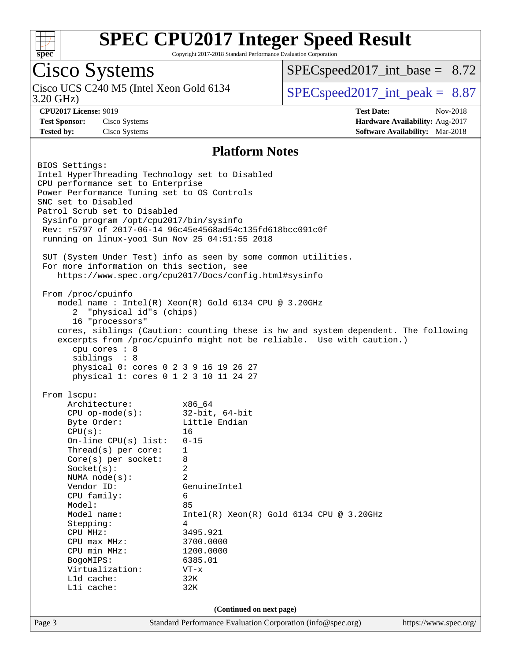

Copyright 2017-2018 Standard Performance Evaluation Corporation

## Cisco Systems

3.20 GHz) Cisco UCS C240 M5 (Intel Xeon Gold 6134  $\vert$  [SPECspeed2017\\_int\\_peak =](http://www.spec.org/auto/cpu2017/Docs/result-fields.html#SPECspeed2017intpeak) 8.87

 $SPECspeed2017\_int\_base = 8.72$ 

**[CPU2017 License:](http://www.spec.org/auto/cpu2017/Docs/result-fields.html#CPU2017License)** 9019 **[Test Date:](http://www.spec.org/auto/cpu2017/Docs/result-fields.html#TestDate)** Nov-2018 **[Test Sponsor:](http://www.spec.org/auto/cpu2017/Docs/result-fields.html#TestSponsor)** Cisco Systems **[Hardware Availability:](http://www.spec.org/auto/cpu2017/Docs/result-fields.html#HardwareAvailability)** Aug-2017 **[Tested by:](http://www.spec.org/auto/cpu2017/Docs/result-fields.html#Testedby)** Cisco Systems **[Software Availability:](http://www.spec.org/auto/cpu2017/Docs/result-fields.html#SoftwareAvailability)** Mar-2018

#### **[Platform Notes](http://www.spec.org/auto/cpu2017/Docs/result-fields.html#PlatformNotes)**

Page 3 Standard Performance Evaluation Corporation [\(info@spec.org\)](mailto:info@spec.org) <https://www.spec.org/> BIOS Settings: Intel HyperThreading Technology set to Disabled CPU performance set to Enterprise Power Performance Tuning set to OS Controls SNC set to Disabled Patrol Scrub set to Disabled Sysinfo program /opt/cpu2017/bin/sysinfo Rev: r5797 of 2017-06-14 96c45e4568ad54c135fd618bcc091c0f running on linux-yoo1 Sun Nov 25 04:51:55 2018 SUT (System Under Test) info as seen by some common utilities. For more information on this section, see <https://www.spec.org/cpu2017/Docs/config.html#sysinfo> From /proc/cpuinfo model name : Intel(R) Xeon(R) Gold 6134 CPU @ 3.20GHz 2 "physical id"s (chips) 16 "processors" cores, siblings (Caution: counting these is hw and system dependent. The following excerpts from /proc/cpuinfo might not be reliable. Use with caution.) cpu cores : 8 siblings : 8 physical 0: cores 0 2 3 9 16 19 26 27 physical 1: cores 0 1 2 3 10 11 24 27 From lscpu: Architecture: x86\_64 CPU op-mode(s): 32-bit, 64-bit Byte Order: Little Endian  $CPU(s):$  16 On-line CPU(s) list: 0-15 Thread(s) per core: 1 Core(s) per socket: 8 Socket(s): 2 NUMA node(s): 2 Vendor ID: GenuineIntel CPU family: 6 Model: 85 Model name: Intel(R) Xeon(R) Gold 6134 CPU @ 3.20GHz Stepping: 4 CPU MHz: 3495.921 CPU max MHz: 3700.0000<br>CPU min MHz: 1200.0000 CPU min MHz: BogoMIPS: 6385.01 Virtualization: VT-x L1d cache: 32K L1i cache: 32K **(Continued on next page)**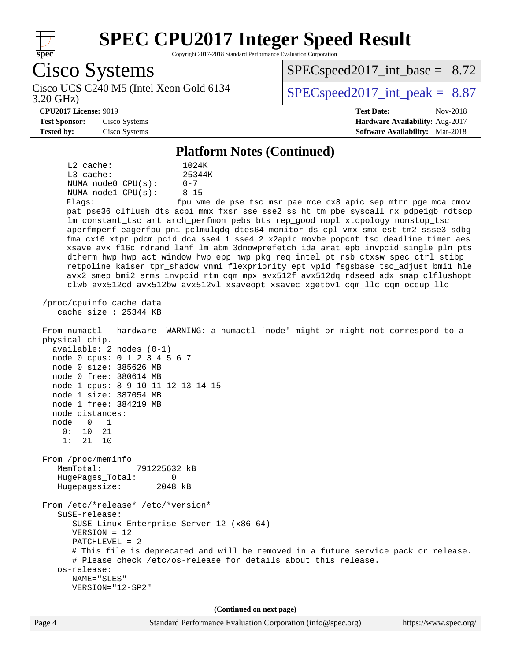

Copyright 2017-2018 Standard Performance Evaluation Corporation

Cisco Systems 3.20 GHz) Cisco UCS C240 M5 (Intel Xeon Gold 6134  $\vert$  [SPECspeed2017\\_int\\_peak =](http://www.spec.org/auto/cpu2017/Docs/result-fields.html#SPECspeed2017intpeak) 8.87  $SPECspeed2017\_int\_base = 8.72$ **[CPU2017 License:](http://www.spec.org/auto/cpu2017/Docs/result-fields.html#CPU2017License)** 9019 **[Test Date:](http://www.spec.org/auto/cpu2017/Docs/result-fields.html#TestDate)** Nov-2018 **[Test Sponsor:](http://www.spec.org/auto/cpu2017/Docs/result-fields.html#TestSponsor)** Cisco Systems **[Hardware Availability:](http://www.spec.org/auto/cpu2017/Docs/result-fields.html#HardwareAvailability)** Aug-2017 **[Tested by:](http://www.spec.org/auto/cpu2017/Docs/result-fields.html#Testedby)** Cisco Systems **[Software Availability:](http://www.spec.org/auto/cpu2017/Docs/result-fields.html#SoftwareAvailability)** Mar-2018 **[Platform Notes \(Continued\)](http://www.spec.org/auto/cpu2017/Docs/result-fields.html#PlatformNotes)** L2 cache: 1024K L3 cache:  $25344K$ <br>NUMA node0 CPU(s):  $0-7$ NUMA node0 CPU(s): NUMA node1 CPU(s): 8-15 Flags: fpu vme de pse tsc msr pae mce cx8 apic sep mtrr pge mca cmov pat pse36 clflush dts acpi mmx fxsr sse sse2 ss ht tm pbe syscall nx pdpe1gb rdtscp lm constant\_tsc art arch\_perfmon pebs bts rep\_good nopl xtopology nonstop\_tsc aperfmperf eagerfpu pni pclmulqdq dtes64 monitor ds\_cpl vmx smx est tm2 ssse3 sdbg fma cx16 xtpr pdcm pcid dca sse4\_1 sse4\_2 x2apic movbe popcnt tsc\_deadline\_timer aes xsave avx f16c rdrand lahf\_lm abm 3dnowprefetch ida arat epb invpcid\_single pln pts dtherm hwp hwp\_act\_window hwp\_epp hwp\_pkg\_req intel\_pt rsb\_ctxsw spec\_ctrl stibp retpoline kaiser tpr\_shadow vnmi flexpriority ept vpid fsgsbase tsc\_adjust bmi1 hle avx2 smep bmi2 erms invpcid rtm cqm mpx avx512f avx512dq rdseed adx smap clflushopt clwb avx512cd avx512bw avx512vl xsaveopt xsavec xgetbv1 cqm\_llc cqm\_occup\_llc /proc/cpuinfo cache data cache size : 25344 KB From numactl --hardware WARNING: a numactl 'node' might or might not correspond to a physical chip. available: 2 nodes (0-1) node 0 cpus: 0 1 2 3 4 5 6 7 node 0 size: 385626 MB node 0 free: 380614 MB node 1 cpus: 8 9 10 11 12 13 14 15 node 1 size: 387054 MB node 1 free: 384219 MB node distances: node 0 1 0: 10 21 1: 21 10 From /proc/meminfo MemTotal: 791225632 kB HugePages\_Total: 0 Hugepagesize: 2048 kB From /etc/\*release\* /etc/\*version\* SuSE-release: SUSE Linux Enterprise Server 12 (x86\_64) VERSION = 12 PATCHLEVEL = 2 # This file is deprecated and will be removed in a future service pack or release. # Please check /etc/os-release for details about this release. os-release: NAME="SLES" VERSION="12-SP2" **(Continued on next page)**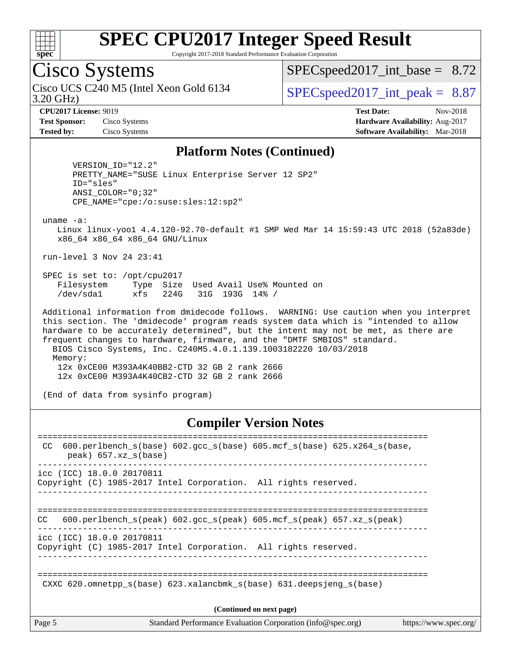

Copyright 2017-2018 Standard Performance Evaluation Corporation

## Cisco Systems

3.20 GHz) Cisco UCS C240 M5 (Intel Xeon Gold 6134  $\vert$  [SPECspeed2017\\_int\\_peak =](http://www.spec.org/auto/cpu2017/Docs/result-fields.html#SPECspeed2017intpeak) 8.87

 $SPECspeed2017\_int\_base = 8.72$ 

**[CPU2017 License:](http://www.spec.org/auto/cpu2017/Docs/result-fields.html#CPU2017License)** 9019 **[Test Date:](http://www.spec.org/auto/cpu2017/Docs/result-fields.html#TestDate)** Nov-2018 **[Test Sponsor:](http://www.spec.org/auto/cpu2017/Docs/result-fields.html#TestSponsor)** Cisco Systems **[Hardware Availability:](http://www.spec.org/auto/cpu2017/Docs/result-fields.html#HardwareAvailability)** Aug-2017 **[Tested by:](http://www.spec.org/auto/cpu2017/Docs/result-fields.html#Testedby)** Cisco Systems **[Software Availability:](http://www.spec.org/auto/cpu2017/Docs/result-fields.html#SoftwareAvailability)** Mar-2018

#### **[Platform Notes \(Continued\)](http://www.spec.org/auto/cpu2017/Docs/result-fields.html#PlatformNotes)**

 VERSION\_ID="12.2" PRETTY\_NAME="SUSE Linux Enterprise Server 12 SP2" ID="sles" ANSI\_COLOR="0;32" CPE\_NAME="cpe:/o:suse:sles:12:sp2"

uname -a:

 Linux linux-yoo1 4.4.120-92.70-default #1 SMP Wed Mar 14 15:59:43 UTC 2018 (52a83de) x86\_64 x86\_64 x86\_64 GNU/Linux

run-level 3 Nov 24 23:41

 SPEC is set to: /opt/cpu2017 Filesystem Type Size Used Avail Use% Mounted on /dev/sda1 xfs 224G 31G 193G 14% /

 Additional information from dmidecode follows. WARNING: Use caution when you interpret this section. The 'dmidecode' program reads system data which is "intended to allow hardware to be accurately determined", but the intent may not be met, as there are frequent changes to hardware, firmware, and the "DMTF SMBIOS" standard. BIOS Cisco Systems, Inc. C240M5.4.0.1.139.1003182220 10/03/2018 Memory: 12x 0xCE00 M393A4K40BB2-CTD 32 GB 2 rank 2666 12x 0xCE00 M393A4K40CB2-CTD 32 GB 2 rank 2666

(End of data from sysinfo program)

#### **[Compiler Version Notes](http://www.spec.org/auto/cpu2017/Docs/result-fields.html#CompilerVersionNotes)**

| Page 5 | Standard Performance Evaluation Corporation (info@spec.org)<br>https://www.spec.org/                         |
|--------|--------------------------------------------------------------------------------------------------------------|
|        | (Continued on next page)                                                                                     |
|        | CXXC 620.omnetpp $s(base)$ 623.xalancbmk $s(base)$ 631.deepsjeng $s(base)$                                   |
|        | icc (ICC) 18.0.0 20170811<br>Copyright (C) 1985-2017 Intel Corporation. All rights reserved.                 |
| CC.    | 600.perlbench_s(peak) 602.gcc_s(peak) 605.mcf_s(peak) 657.xz_s(peak)                                         |
|        | icc (ICC) 18.0.0 20170811<br>Copyright (C) 1985-2017 Intel Corporation. All rights reserved.                 |
| CC.    | 600.perlbench $s(base)$ 602.gcc $s(base)$ 605.mcf $s(base)$ 625.x264 $s(base)$ ,<br>$peak)$ 657.xz $s(base)$ |
|        |                                                                                                              |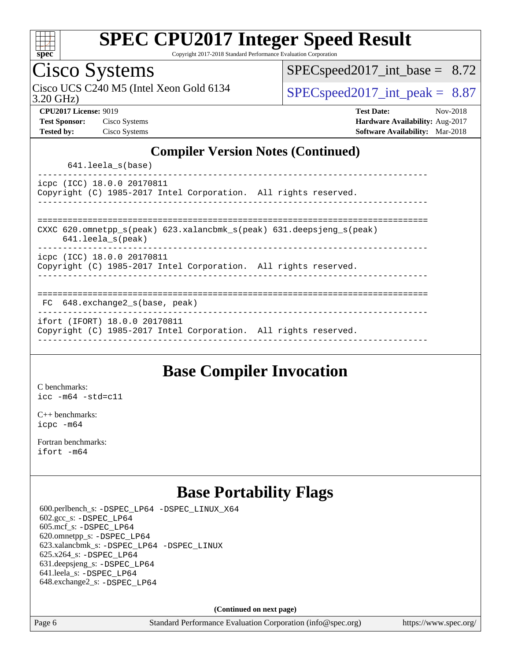

Copyright 2017-2018 Standard Performance Evaluation Corporation

## Cisco Systems

3.20 GHz) Cisco UCS C240 M5 (Intel Xeon Gold 6134  $\vert$  [SPECspeed2017\\_int\\_peak =](http://www.spec.org/auto/cpu2017/Docs/result-fields.html#SPECspeed2017intpeak) 8.87

 $SPEC speed2017\_int\_base = 8.72$ 

**[CPU2017 License:](http://www.spec.org/auto/cpu2017/Docs/result-fields.html#CPU2017License)** 9019 **[Test Date:](http://www.spec.org/auto/cpu2017/Docs/result-fields.html#TestDate)** Nov-2018 **[Test Sponsor:](http://www.spec.org/auto/cpu2017/Docs/result-fields.html#TestSponsor)** Cisco Systems **[Hardware Availability:](http://www.spec.org/auto/cpu2017/Docs/result-fields.html#HardwareAvailability)** Aug-2017 **[Tested by:](http://www.spec.org/auto/cpu2017/Docs/result-fields.html#Testedby)** Cisco Systems **[Software Availability:](http://www.spec.org/auto/cpu2017/Docs/result-fields.html#SoftwareAvailability)** Mar-2018

#### **[Compiler Version Notes \(Continued\)](http://www.spec.org/auto/cpu2017/Docs/result-fields.html#CompilerVersionNotes)**

641.leela\_s(base)

----------------------------------------------------------------------------- icpc (ICC) 18.0.0 20170811 Copyright (C) 1985-2017 Intel Corporation. All rights reserved. ------------------------------------------------------------------------------

============================================================================== CXXC 620.omnetpp\_s(peak) 623.xalancbmk\_s(peak) 631.deepsjeng\_s(peak)

641.leela\_s(peak)

------------------------------------------------------------------------------

icpc (ICC) 18.0.0 20170811 Copyright (C) 1985-2017 Intel Corporation. All rights reserved.

------------------------------------------------------------------------------

#### ==============================================================================

 FC 648.exchange2\_s(base, peak) ------------------------------------------------------------------------------

ifort (IFORT) 18.0.0 20170811

Copyright (C) 1985-2017 Intel Corporation. All rights reserved. ------------------------------------------------------------------------------

#### **[Base Compiler Invocation](http://www.spec.org/auto/cpu2017/Docs/result-fields.html#BaseCompilerInvocation)**

[C benchmarks](http://www.spec.org/auto/cpu2017/Docs/result-fields.html#Cbenchmarks): [icc -m64 -std=c11](http://www.spec.org/cpu2017/results/res2018q4/cpu2017-20181127-10002.flags.html#user_CCbase_intel_icc_64bit_c11_33ee0cdaae7deeeab2a9725423ba97205ce30f63b9926c2519791662299b76a0318f32ddfffdc46587804de3178b4f9328c46fa7c2b0cd779d7a61945c91cd35)

[C++ benchmarks:](http://www.spec.org/auto/cpu2017/Docs/result-fields.html#CXXbenchmarks) [icpc -m64](http://www.spec.org/cpu2017/results/res2018q4/cpu2017-20181127-10002.flags.html#user_CXXbase_intel_icpc_64bit_4ecb2543ae3f1412ef961e0650ca070fec7b7afdcd6ed48761b84423119d1bf6bdf5cad15b44d48e7256388bc77273b966e5eb805aefd121eb22e9299b2ec9d9)

[Fortran benchmarks](http://www.spec.org/auto/cpu2017/Docs/result-fields.html#Fortranbenchmarks): [ifort -m64](http://www.spec.org/cpu2017/results/res2018q4/cpu2017-20181127-10002.flags.html#user_FCbase_intel_ifort_64bit_24f2bb282fbaeffd6157abe4f878425411749daecae9a33200eee2bee2fe76f3b89351d69a8130dd5949958ce389cf37ff59a95e7a40d588e8d3a57e0c3fd751)

### **[Base Portability Flags](http://www.spec.org/auto/cpu2017/Docs/result-fields.html#BasePortabilityFlags)**

 600.perlbench\_s: [-DSPEC\\_LP64](http://www.spec.org/cpu2017/results/res2018q4/cpu2017-20181127-10002.flags.html#b600.perlbench_s_basePORTABILITY_DSPEC_LP64) [-DSPEC\\_LINUX\\_X64](http://www.spec.org/cpu2017/results/res2018q4/cpu2017-20181127-10002.flags.html#b600.perlbench_s_baseCPORTABILITY_DSPEC_LINUX_X64) 602.gcc\_s: [-DSPEC\\_LP64](http://www.spec.org/cpu2017/results/res2018q4/cpu2017-20181127-10002.flags.html#suite_basePORTABILITY602_gcc_s_DSPEC_LP64) 605.mcf\_s: [-DSPEC\\_LP64](http://www.spec.org/cpu2017/results/res2018q4/cpu2017-20181127-10002.flags.html#suite_basePORTABILITY605_mcf_s_DSPEC_LP64) 620.omnetpp\_s: [-DSPEC\\_LP64](http://www.spec.org/cpu2017/results/res2018q4/cpu2017-20181127-10002.flags.html#suite_basePORTABILITY620_omnetpp_s_DSPEC_LP64) 623.xalancbmk\_s: [-DSPEC\\_LP64](http://www.spec.org/cpu2017/results/res2018q4/cpu2017-20181127-10002.flags.html#suite_basePORTABILITY623_xalancbmk_s_DSPEC_LP64) [-DSPEC\\_LINUX](http://www.spec.org/cpu2017/results/res2018q4/cpu2017-20181127-10002.flags.html#b623.xalancbmk_s_baseCXXPORTABILITY_DSPEC_LINUX) 625.x264\_s: [-DSPEC\\_LP64](http://www.spec.org/cpu2017/results/res2018q4/cpu2017-20181127-10002.flags.html#suite_basePORTABILITY625_x264_s_DSPEC_LP64) 631.deepsjeng\_s: [-DSPEC\\_LP64](http://www.spec.org/cpu2017/results/res2018q4/cpu2017-20181127-10002.flags.html#suite_basePORTABILITY631_deepsjeng_s_DSPEC_LP64) 641.leela\_s: [-DSPEC\\_LP64](http://www.spec.org/cpu2017/results/res2018q4/cpu2017-20181127-10002.flags.html#suite_basePORTABILITY641_leela_s_DSPEC_LP64) 648.exchange2\_s: [-DSPEC\\_LP64](http://www.spec.org/cpu2017/results/res2018q4/cpu2017-20181127-10002.flags.html#suite_basePORTABILITY648_exchange2_s_DSPEC_LP64)

**(Continued on next page)**

Page 6 Standard Performance Evaluation Corporation [\(info@spec.org\)](mailto:info@spec.org) <https://www.spec.org/>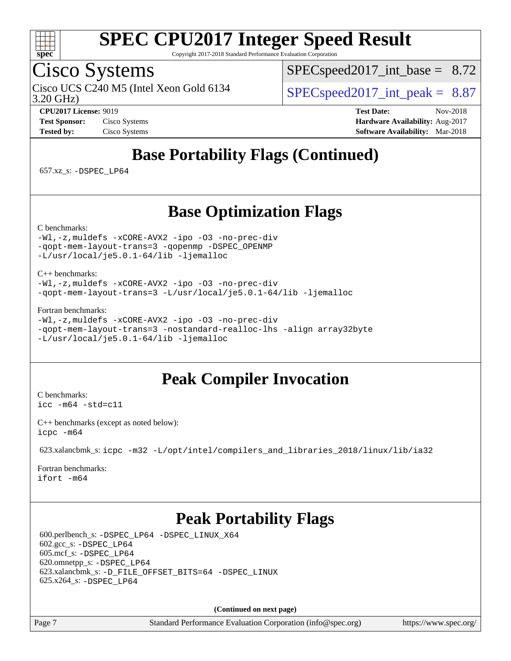

Copyright 2017-2018 Standard Performance Evaluation Corporation

## Cisco Systems

3.20 GHz) Cisco UCS C240 M5 (Intel Xeon Gold 6134  $\vert$  [SPECspeed2017\\_int\\_peak =](http://www.spec.org/auto/cpu2017/Docs/result-fields.html#SPECspeed2017intpeak) 8.87

 $SPECspeed2017\_int\_base = 8.72$ 

**[CPU2017 License:](http://www.spec.org/auto/cpu2017/Docs/result-fields.html#CPU2017License)** 9019 **[Test Date:](http://www.spec.org/auto/cpu2017/Docs/result-fields.html#TestDate)** Nov-2018 **[Test Sponsor:](http://www.spec.org/auto/cpu2017/Docs/result-fields.html#TestSponsor)** Cisco Systems **[Hardware Availability:](http://www.spec.org/auto/cpu2017/Docs/result-fields.html#HardwareAvailability)** Aug-2017 **[Tested by:](http://www.spec.org/auto/cpu2017/Docs/result-fields.html#Testedby)** Cisco Systems **[Software Availability:](http://www.spec.org/auto/cpu2017/Docs/result-fields.html#SoftwareAvailability)** Mar-2018

## **[Base Portability Flags \(Continued\)](http://www.spec.org/auto/cpu2017/Docs/result-fields.html#BasePortabilityFlags)**

657.xz\_s: [-DSPEC\\_LP64](http://www.spec.org/cpu2017/results/res2018q4/cpu2017-20181127-10002.flags.html#suite_basePORTABILITY657_xz_s_DSPEC_LP64)

#### **[Base Optimization Flags](http://www.spec.org/auto/cpu2017/Docs/result-fields.html#BaseOptimizationFlags)**

[C benchmarks](http://www.spec.org/auto/cpu2017/Docs/result-fields.html#Cbenchmarks):

[-Wl,-z,muldefs](http://www.spec.org/cpu2017/results/res2018q4/cpu2017-20181127-10002.flags.html#user_CCbase_link_force_multiple1_b4cbdb97b34bdee9ceefcfe54f4c8ea74255f0b02a4b23e853cdb0e18eb4525ac79b5a88067c842dd0ee6996c24547a27a4b99331201badda8798ef8a743f577) [-xCORE-AVX2](http://www.spec.org/cpu2017/results/res2018q4/cpu2017-20181127-10002.flags.html#user_CCbase_f-xCORE-AVX2) [-ipo](http://www.spec.org/cpu2017/results/res2018q4/cpu2017-20181127-10002.flags.html#user_CCbase_f-ipo) [-O3](http://www.spec.org/cpu2017/results/res2018q4/cpu2017-20181127-10002.flags.html#user_CCbase_f-O3) [-no-prec-div](http://www.spec.org/cpu2017/results/res2018q4/cpu2017-20181127-10002.flags.html#user_CCbase_f-no-prec-div) [-qopt-mem-layout-trans=3](http://www.spec.org/cpu2017/results/res2018q4/cpu2017-20181127-10002.flags.html#user_CCbase_f-qopt-mem-layout-trans_de80db37974c74b1f0e20d883f0b675c88c3b01e9d123adea9b28688d64333345fb62bc4a798493513fdb68f60282f9a726aa07f478b2f7113531aecce732043) [-qopenmp](http://www.spec.org/cpu2017/results/res2018q4/cpu2017-20181127-10002.flags.html#user_CCbase_qopenmp_16be0c44f24f464004c6784a7acb94aca937f053568ce72f94b139a11c7c168634a55f6653758ddd83bcf7b8463e8028bb0b48b77bcddc6b78d5d95bb1df2967) [-DSPEC\\_OPENMP](http://www.spec.org/cpu2017/results/res2018q4/cpu2017-20181127-10002.flags.html#suite_CCbase_DSPEC_OPENMP) [-L/usr/local/je5.0.1-64/lib](http://www.spec.org/cpu2017/results/res2018q4/cpu2017-20181127-10002.flags.html#user_CCbase_jemalloc_link_path64_4b10a636b7bce113509b17f3bd0d6226c5fb2346b9178c2d0232c14f04ab830f976640479e5c33dc2bcbbdad86ecfb6634cbbd4418746f06f368b512fced5394) [-ljemalloc](http://www.spec.org/cpu2017/results/res2018q4/cpu2017-20181127-10002.flags.html#user_CCbase_jemalloc_link_lib_d1249b907c500fa1c0672f44f562e3d0f79738ae9e3c4a9c376d49f265a04b9c99b167ecedbf6711b3085be911c67ff61f150a17b3472be731631ba4d0471706)

#### [C++ benchmarks:](http://www.spec.org/auto/cpu2017/Docs/result-fields.html#CXXbenchmarks)

[-Wl,-z,muldefs](http://www.spec.org/cpu2017/results/res2018q4/cpu2017-20181127-10002.flags.html#user_CXXbase_link_force_multiple1_b4cbdb97b34bdee9ceefcfe54f4c8ea74255f0b02a4b23e853cdb0e18eb4525ac79b5a88067c842dd0ee6996c24547a27a4b99331201badda8798ef8a743f577) [-xCORE-AVX2](http://www.spec.org/cpu2017/results/res2018q4/cpu2017-20181127-10002.flags.html#user_CXXbase_f-xCORE-AVX2) [-ipo](http://www.spec.org/cpu2017/results/res2018q4/cpu2017-20181127-10002.flags.html#user_CXXbase_f-ipo) [-O3](http://www.spec.org/cpu2017/results/res2018q4/cpu2017-20181127-10002.flags.html#user_CXXbase_f-O3) [-no-prec-div](http://www.spec.org/cpu2017/results/res2018q4/cpu2017-20181127-10002.flags.html#user_CXXbase_f-no-prec-div) [-qopt-mem-layout-trans=3](http://www.spec.org/cpu2017/results/res2018q4/cpu2017-20181127-10002.flags.html#user_CXXbase_f-qopt-mem-layout-trans_de80db37974c74b1f0e20d883f0b675c88c3b01e9d123adea9b28688d64333345fb62bc4a798493513fdb68f60282f9a726aa07f478b2f7113531aecce732043) [-L/usr/local/je5.0.1-64/lib](http://www.spec.org/cpu2017/results/res2018q4/cpu2017-20181127-10002.flags.html#user_CXXbase_jemalloc_link_path64_4b10a636b7bce113509b17f3bd0d6226c5fb2346b9178c2d0232c14f04ab830f976640479e5c33dc2bcbbdad86ecfb6634cbbd4418746f06f368b512fced5394) [-ljemalloc](http://www.spec.org/cpu2017/results/res2018q4/cpu2017-20181127-10002.flags.html#user_CXXbase_jemalloc_link_lib_d1249b907c500fa1c0672f44f562e3d0f79738ae9e3c4a9c376d49f265a04b9c99b167ecedbf6711b3085be911c67ff61f150a17b3472be731631ba4d0471706)

[Fortran benchmarks](http://www.spec.org/auto/cpu2017/Docs/result-fields.html#Fortranbenchmarks):

```
-Wl,-z,muldefs -xCORE-AVX2 -ipo -O3 -no-prec-div
-qopt-mem-layout-trans=3 -nostandard-realloc-lhs -align array32byte
-L/usr/local/je5.0.1-64/lib -ljemalloc
```
### **[Peak Compiler Invocation](http://www.spec.org/auto/cpu2017/Docs/result-fields.html#PeakCompilerInvocation)**

[C benchmarks](http://www.spec.org/auto/cpu2017/Docs/result-fields.html#Cbenchmarks): [icc -m64 -std=c11](http://www.spec.org/cpu2017/results/res2018q4/cpu2017-20181127-10002.flags.html#user_CCpeak_intel_icc_64bit_c11_33ee0cdaae7deeeab2a9725423ba97205ce30f63b9926c2519791662299b76a0318f32ddfffdc46587804de3178b4f9328c46fa7c2b0cd779d7a61945c91cd35)

[C++ benchmarks \(except as noted below\):](http://www.spec.org/auto/cpu2017/Docs/result-fields.html#CXXbenchmarksexceptasnotedbelow) [icpc -m64](http://www.spec.org/cpu2017/results/res2018q4/cpu2017-20181127-10002.flags.html#user_CXXpeak_intel_icpc_64bit_4ecb2543ae3f1412ef961e0650ca070fec7b7afdcd6ed48761b84423119d1bf6bdf5cad15b44d48e7256388bc77273b966e5eb805aefd121eb22e9299b2ec9d9)

623.xalancbmk\_s: [icpc -m32 -L/opt/intel/compilers\\_and\\_libraries\\_2018/linux/lib/ia32](http://www.spec.org/cpu2017/results/res2018q4/cpu2017-20181127-10002.flags.html#user_peakCXXLD623_xalancbmk_s_intel_icpc_49b8c4a2e52517df5e44233d8730ac3dfca5acbb5ef11df3347e50260a55109134bcb7fd2e543798dfd93e66566a4e08776ad3f7d40a4ff4276870c090f61f0e)

[Fortran benchmarks](http://www.spec.org/auto/cpu2017/Docs/result-fields.html#Fortranbenchmarks): [ifort -m64](http://www.spec.org/cpu2017/results/res2018q4/cpu2017-20181127-10002.flags.html#user_FCpeak_intel_ifort_64bit_24f2bb282fbaeffd6157abe4f878425411749daecae9a33200eee2bee2fe76f3b89351d69a8130dd5949958ce389cf37ff59a95e7a40d588e8d3a57e0c3fd751)

#### **[Peak Portability Flags](http://www.spec.org/auto/cpu2017/Docs/result-fields.html#PeakPortabilityFlags)**

 600.perlbench\_s: [-DSPEC\\_LP64](http://www.spec.org/cpu2017/results/res2018q4/cpu2017-20181127-10002.flags.html#b600.perlbench_s_peakPORTABILITY_DSPEC_LP64) [-DSPEC\\_LINUX\\_X64](http://www.spec.org/cpu2017/results/res2018q4/cpu2017-20181127-10002.flags.html#b600.perlbench_s_peakCPORTABILITY_DSPEC_LINUX_X64) 602.gcc\_s: [-DSPEC\\_LP64](http://www.spec.org/cpu2017/results/res2018q4/cpu2017-20181127-10002.flags.html#suite_peakPORTABILITY602_gcc_s_DSPEC_LP64) 605.mcf\_s: [-DSPEC\\_LP64](http://www.spec.org/cpu2017/results/res2018q4/cpu2017-20181127-10002.flags.html#suite_peakPORTABILITY605_mcf_s_DSPEC_LP64) 620.omnetpp\_s: [-DSPEC\\_LP64](http://www.spec.org/cpu2017/results/res2018q4/cpu2017-20181127-10002.flags.html#suite_peakPORTABILITY620_omnetpp_s_DSPEC_LP64) 623.xalancbmk\_s: [-D\\_FILE\\_OFFSET\\_BITS=64](http://www.spec.org/cpu2017/results/res2018q4/cpu2017-20181127-10002.flags.html#user_peakPORTABILITY623_xalancbmk_s_file_offset_bits_64_5ae949a99b284ddf4e95728d47cb0843d81b2eb0e18bdfe74bbf0f61d0b064f4bda2f10ea5eb90e1dcab0e84dbc592acfc5018bc955c18609f94ddb8d550002c) [-DSPEC\\_LINUX](http://www.spec.org/cpu2017/results/res2018q4/cpu2017-20181127-10002.flags.html#b623.xalancbmk_s_peakCXXPORTABILITY_DSPEC_LINUX) 625.x264\_s: [-DSPEC\\_LP64](http://www.spec.org/cpu2017/results/res2018q4/cpu2017-20181127-10002.flags.html#suite_peakPORTABILITY625_x264_s_DSPEC_LP64)

**(Continued on next page)**

Page 7 Standard Performance Evaluation Corporation [\(info@spec.org\)](mailto:info@spec.org) <https://www.spec.org/>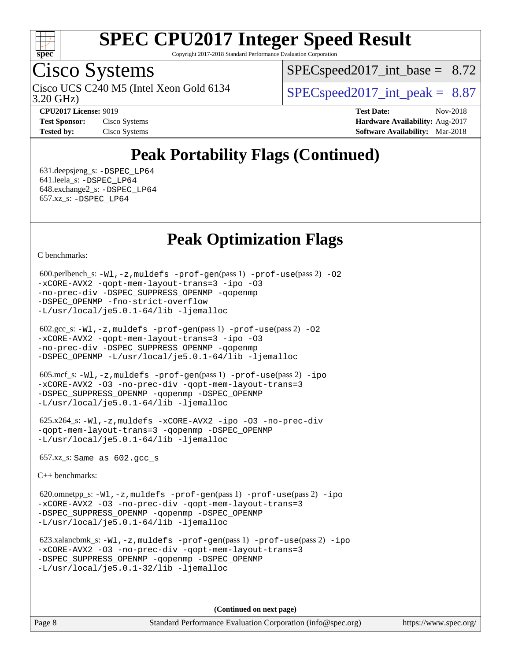

Copyright 2017-2018 Standard Performance Evaluation Corporation

## Cisco Systems

3.20 GHz) Cisco UCS C240 M5 (Intel Xeon Gold 6134  $\vert$  [SPECspeed2017\\_int\\_peak =](http://www.spec.org/auto/cpu2017/Docs/result-fields.html#SPECspeed2017intpeak) 8.87

 $SPECspeed2017\_int\_base = 8.72$ 

**[Tested by:](http://www.spec.org/auto/cpu2017/Docs/result-fields.html#Testedby)** Cisco Systems **[Software Availability:](http://www.spec.org/auto/cpu2017/Docs/result-fields.html#SoftwareAvailability)** Mar-2018

**[CPU2017 License:](http://www.spec.org/auto/cpu2017/Docs/result-fields.html#CPU2017License)** 9019 **[Test Date:](http://www.spec.org/auto/cpu2017/Docs/result-fields.html#TestDate)** Nov-2018 **[Test Sponsor:](http://www.spec.org/auto/cpu2017/Docs/result-fields.html#TestSponsor)** Cisco Systems **[Hardware Availability:](http://www.spec.org/auto/cpu2017/Docs/result-fields.html#HardwareAvailability)** Aug-2017

## **[Peak Portability Flags \(Continued\)](http://www.spec.org/auto/cpu2017/Docs/result-fields.html#PeakPortabilityFlags)**

 631.deepsjeng\_s: [-DSPEC\\_LP64](http://www.spec.org/cpu2017/results/res2018q4/cpu2017-20181127-10002.flags.html#suite_peakPORTABILITY631_deepsjeng_s_DSPEC_LP64) 641.leela\_s: [-DSPEC\\_LP64](http://www.spec.org/cpu2017/results/res2018q4/cpu2017-20181127-10002.flags.html#suite_peakPORTABILITY641_leela_s_DSPEC_LP64) 648.exchange2\_s: [-DSPEC\\_LP64](http://www.spec.org/cpu2017/results/res2018q4/cpu2017-20181127-10002.flags.html#suite_peakPORTABILITY648_exchange2_s_DSPEC_LP64) 657.xz\_s: [-DSPEC\\_LP64](http://www.spec.org/cpu2017/results/res2018q4/cpu2017-20181127-10002.flags.html#suite_peakPORTABILITY657_xz_s_DSPEC_LP64)

### **[Peak Optimization Flags](http://www.spec.org/auto/cpu2017/Docs/result-fields.html#PeakOptimizationFlags)**

[C benchmarks](http://www.spec.org/auto/cpu2017/Docs/result-fields.html#Cbenchmarks):

```
600.perlbench_s: -W1-prof-gen-prof-use(pass 2) -02
-xCORE-AVX2 -qopt-mem-layout-trans=3 -ipo -O3
-no-prec-div -DSPEC_SUPPRESS_OPENMP -qopenmp
-DSPEC_OPENMP -fno-strict-overflow
-L/usr/local/je5.0.1-64/lib -ljemalloc
```

| $602.\text{sec}\_\text{s}: -W1, -z$ , muldefs $-\text{prof-qen}(pass 1)$ $-\text{prof-use}(pass 2)$ -02 |  |
|---------------------------------------------------------------------------------------------------------|--|
| $-xCORE-AVX2$ -gopt-mem-layout-trans=3 -ipo -03                                                         |  |
| -no-prec-div -DSPEC_SUPPRESS_OPENMP -qopenmp                                                            |  |
| $-DSPEC\_OPENMP -L/usr/local/je5.0.1-64/lib -ljemalloc$                                                 |  |

```
 605.mcf_s: -Wl,-z,muldefs -prof-gen(pass 1) -prof-use(pass 2) -ipo
-xCORE-AVX2 -O3 -no-prec-div -qopt-mem-layout-trans=3
-DSPEC_SUPPRESS_OPENMP -qopenmp -DSPEC_OPENMP
-L/usr/local/je5.0.1-64/lib -ljemalloc
```
 625.x264\_s: [-Wl,-z,muldefs](http://www.spec.org/cpu2017/results/res2018q4/cpu2017-20181127-10002.flags.html#user_peakEXTRA_LDFLAGS625_x264_s_link_force_multiple1_b4cbdb97b34bdee9ceefcfe54f4c8ea74255f0b02a4b23e853cdb0e18eb4525ac79b5a88067c842dd0ee6996c24547a27a4b99331201badda8798ef8a743f577) [-xCORE-AVX2](http://www.spec.org/cpu2017/results/res2018q4/cpu2017-20181127-10002.flags.html#user_peakCOPTIMIZE625_x264_s_f-xCORE-AVX2) [-ipo](http://www.spec.org/cpu2017/results/res2018q4/cpu2017-20181127-10002.flags.html#user_peakCOPTIMIZE625_x264_s_f-ipo) [-O3](http://www.spec.org/cpu2017/results/res2018q4/cpu2017-20181127-10002.flags.html#user_peakCOPTIMIZE625_x264_s_f-O3) [-no-prec-div](http://www.spec.org/cpu2017/results/res2018q4/cpu2017-20181127-10002.flags.html#user_peakCOPTIMIZE625_x264_s_f-no-prec-div) [-qopt-mem-layout-trans=3](http://www.spec.org/cpu2017/results/res2018q4/cpu2017-20181127-10002.flags.html#user_peakCOPTIMIZE625_x264_s_f-qopt-mem-layout-trans_de80db37974c74b1f0e20d883f0b675c88c3b01e9d123adea9b28688d64333345fb62bc4a798493513fdb68f60282f9a726aa07f478b2f7113531aecce732043) [-qopenmp](http://www.spec.org/cpu2017/results/res2018q4/cpu2017-20181127-10002.flags.html#user_peakCOPTIMIZE625_x264_s_qopenmp_16be0c44f24f464004c6784a7acb94aca937f053568ce72f94b139a11c7c168634a55f6653758ddd83bcf7b8463e8028bb0b48b77bcddc6b78d5d95bb1df2967) [-DSPEC\\_OPENMP](http://www.spec.org/cpu2017/results/res2018q4/cpu2017-20181127-10002.flags.html#suite_peakCOPTIMIZE625_x264_s_DSPEC_OPENMP) [-L/usr/local/je5.0.1-64/lib](http://www.spec.org/cpu2017/results/res2018q4/cpu2017-20181127-10002.flags.html#user_peakEXTRA_LIBS625_x264_s_jemalloc_link_path64_4b10a636b7bce113509b17f3bd0d6226c5fb2346b9178c2d0232c14f04ab830f976640479e5c33dc2bcbbdad86ecfb6634cbbd4418746f06f368b512fced5394) [-ljemalloc](http://www.spec.org/cpu2017/results/res2018q4/cpu2017-20181127-10002.flags.html#user_peakEXTRA_LIBS625_x264_s_jemalloc_link_lib_d1249b907c500fa1c0672f44f562e3d0f79738ae9e3c4a9c376d49f265a04b9c99b167ecedbf6711b3085be911c67ff61f150a17b3472be731631ba4d0471706)

657.xz\_s: Same as 602.gcc\_s

[C++ benchmarks:](http://www.spec.org/auto/cpu2017/Docs/result-fields.html#CXXbenchmarks)

 620.omnetpp\_s: [-Wl,-z,muldefs](http://www.spec.org/cpu2017/results/res2018q4/cpu2017-20181127-10002.flags.html#user_peakEXTRA_LDFLAGS620_omnetpp_s_link_force_multiple1_b4cbdb97b34bdee9ceefcfe54f4c8ea74255f0b02a4b23e853cdb0e18eb4525ac79b5a88067c842dd0ee6996c24547a27a4b99331201badda8798ef8a743f577) [-prof-gen](http://www.spec.org/cpu2017/results/res2018q4/cpu2017-20181127-10002.flags.html#user_peakPASS1_CXXFLAGSPASS1_LDFLAGS620_omnetpp_s_prof_gen_5aa4926d6013ddb2a31985c654b3eb18169fc0c6952a63635c234f711e6e63dd76e94ad52365559451ec499a2cdb89e4dc58ba4c67ef54ca681ffbe1461d6b36)(pass 1) [-prof-use](http://www.spec.org/cpu2017/results/res2018q4/cpu2017-20181127-10002.flags.html#user_peakPASS2_CXXFLAGSPASS2_LDFLAGS620_omnetpp_s_prof_use_1a21ceae95f36a2b53c25747139a6c16ca95bd9def2a207b4f0849963b97e94f5260e30a0c64f4bb623698870e679ca08317ef8150905d41bd88c6f78df73f19)(pass 2) [-ipo](http://www.spec.org/cpu2017/results/res2018q4/cpu2017-20181127-10002.flags.html#user_peakPASS1_CXXOPTIMIZEPASS2_CXXOPTIMIZE620_omnetpp_s_f-ipo) [-xCORE-AVX2](http://www.spec.org/cpu2017/results/res2018q4/cpu2017-20181127-10002.flags.html#user_peakPASS2_CXXOPTIMIZE620_omnetpp_s_f-xCORE-AVX2) [-O3](http://www.spec.org/cpu2017/results/res2018q4/cpu2017-20181127-10002.flags.html#user_peakPASS1_CXXOPTIMIZEPASS2_CXXOPTIMIZE620_omnetpp_s_f-O3) [-no-prec-div](http://www.spec.org/cpu2017/results/res2018q4/cpu2017-20181127-10002.flags.html#user_peakPASS1_CXXOPTIMIZEPASS2_CXXOPTIMIZE620_omnetpp_s_f-no-prec-div) [-qopt-mem-layout-trans=3](http://www.spec.org/cpu2017/results/res2018q4/cpu2017-20181127-10002.flags.html#user_peakPASS1_CXXOPTIMIZEPASS2_CXXOPTIMIZE620_omnetpp_s_f-qopt-mem-layout-trans_de80db37974c74b1f0e20d883f0b675c88c3b01e9d123adea9b28688d64333345fb62bc4a798493513fdb68f60282f9a726aa07f478b2f7113531aecce732043) [-DSPEC\\_SUPPRESS\\_OPENMP](http://www.spec.org/cpu2017/results/res2018q4/cpu2017-20181127-10002.flags.html#suite_peakPASS1_CXXOPTIMIZE620_omnetpp_s_DSPEC_SUPPRESS_OPENMP) [-qopenmp](http://www.spec.org/cpu2017/results/res2018q4/cpu2017-20181127-10002.flags.html#user_peakPASS2_CXXOPTIMIZE620_omnetpp_s_qopenmp_16be0c44f24f464004c6784a7acb94aca937f053568ce72f94b139a11c7c168634a55f6653758ddd83bcf7b8463e8028bb0b48b77bcddc6b78d5d95bb1df2967) [-DSPEC\\_OPENMP](http://www.spec.org/cpu2017/results/res2018q4/cpu2017-20181127-10002.flags.html#suite_peakPASS2_CXXOPTIMIZE620_omnetpp_s_DSPEC_OPENMP) [-L/usr/local/je5.0.1-64/lib](http://www.spec.org/cpu2017/results/res2018q4/cpu2017-20181127-10002.flags.html#user_peakEXTRA_LIBS620_omnetpp_s_jemalloc_link_path64_4b10a636b7bce113509b17f3bd0d6226c5fb2346b9178c2d0232c14f04ab830f976640479e5c33dc2bcbbdad86ecfb6634cbbd4418746f06f368b512fced5394) [-ljemalloc](http://www.spec.org/cpu2017/results/res2018q4/cpu2017-20181127-10002.flags.html#user_peakEXTRA_LIBS620_omnetpp_s_jemalloc_link_lib_d1249b907c500fa1c0672f44f562e3d0f79738ae9e3c4a9c376d49f265a04b9c99b167ecedbf6711b3085be911c67ff61f150a17b3472be731631ba4d0471706)

 623.xalancbmk\_s: [-Wl,-z,muldefs](http://www.spec.org/cpu2017/results/res2018q4/cpu2017-20181127-10002.flags.html#user_peakEXTRA_LDFLAGS623_xalancbmk_s_link_force_multiple1_b4cbdb97b34bdee9ceefcfe54f4c8ea74255f0b02a4b23e853cdb0e18eb4525ac79b5a88067c842dd0ee6996c24547a27a4b99331201badda8798ef8a743f577) [-prof-gen](http://www.spec.org/cpu2017/results/res2018q4/cpu2017-20181127-10002.flags.html#user_peakPASS1_CXXFLAGSPASS1_LDFLAGS623_xalancbmk_s_prof_gen_5aa4926d6013ddb2a31985c654b3eb18169fc0c6952a63635c234f711e6e63dd76e94ad52365559451ec499a2cdb89e4dc58ba4c67ef54ca681ffbe1461d6b36)(pass 1) [-prof-use](http://www.spec.org/cpu2017/results/res2018q4/cpu2017-20181127-10002.flags.html#user_peakPASS2_CXXFLAGSPASS2_LDFLAGS623_xalancbmk_s_prof_use_1a21ceae95f36a2b53c25747139a6c16ca95bd9def2a207b4f0849963b97e94f5260e30a0c64f4bb623698870e679ca08317ef8150905d41bd88c6f78df73f19)(pass 2) [-ipo](http://www.spec.org/cpu2017/results/res2018q4/cpu2017-20181127-10002.flags.html#user_peakPASS1_CXXOPTIMIZEPASS2_CXXOPTIMIZE623_xalancbmk_s_f-ipo) [-xCORE-AVX2](http://www.spec.org/cpu2017/results/res2018q4/cpu2017-20181127-10002.flags.html#user_peakPASS2_CXXOPTIMIZE623_xalancbmk_s_f-xCORE-AVX2) [-O3](http://www.spec.org/cpu2017/results/res2018q4/cpu2017-20181127-10002.flags.html#user_peakPASS1_CXXOPTIMIZEPASS2_CXXOPTIMIZE623_xalancbmk_s_f-O3) [-no-prec-div](http://www.spec.org/cpu2017/results/res2018q4/cpu2017-20181127-10002.flags.html#user_peakPASS1_CXXOPTIMIZEPASS2_CXXOPTIMIZE623_xalancbmk_s_f-no-prec-div) [-qopt-mem-layout-trans=3](http://www.spec.org/cpu2017/results/res2018q4/cpu2017-20181127-10002.flags.html#user_peakPASS1_CXXOPTIMIZEPASS2_CXXOPTIMIZE623_xalancbmk_s_f-qopt-mem-layout-trans_de80db37974c74b1f0e20d883f0b675c88c3b01e9d123adea9b28688d64333345fb62bc4a798493513fdb68f60282f9a726aa07f478b2f7113531aecce732043) [-DSPEC\\_SUPPRESS\\_OPENMP](http://www.spec.org/cpu2017/results/res2018q4/cpu2017-20181127-10002.flags.html#suite_peakPASS1_CXXOPTIMIZE623_xalancbmk_s_DSPEC_SUPPRESS_OPENMP) [-qopenmp](http://www.spec.org/cpu2017/results/res2018q4/cpu2017-20181127-10002.flags.html#user_peakPASS2_CXXOPTIMIZE623_xalancbmk_s_qopenmp_16be0c44f24f464004c6784a7acb94aca937f053568ce72f94b139a11c7c168634a55f6653758ddd83bcf7b8463e8028bb0b48b77bcddc6b78d5d95bb1df2967) [-DSPEC\\_OPENMP](http://www.spec.org/cpu2017/results/res2018q4/cpu2017-20181127-10002.flags.html#suite_peakPASS2_CXXOPTIMIZE623_xalancbmk_s_DSPEC_OPENMP) [-L/usr/local/je5.0.1-32/lib](http://www.spec.org/cpu2017/results/res2018q4/cpu2017-20181127-10002.flags.html#user_peakEXTRA_LIBS623_xalancbmk_s_jemalloc_link_path32_e29f22e8e6c17053bbc6a0971f5a9c01a601a06bb1a59df2084b77a2fe0a2995b64fd4256feaeea39eeba3aae142e96e2b2b0a28974019c0c0c88139a84f900a) [-ljemalloc](http://www.spec.org/cpu2017/results/res2018q4/cpu2017-20181127-10002.flags.html#user_peakEXTRA_LIBS623_xalancbmk_s_jemalloc_link_lib_d1249b907c500fa1c0672f44f562e3d0f79738ae9e3c4a9c376d49f265a04b9c99b167ecedbf6711b3085be911c67ff61f150a17b3472be731631ba4d0471706)

**(Continued on next page)**